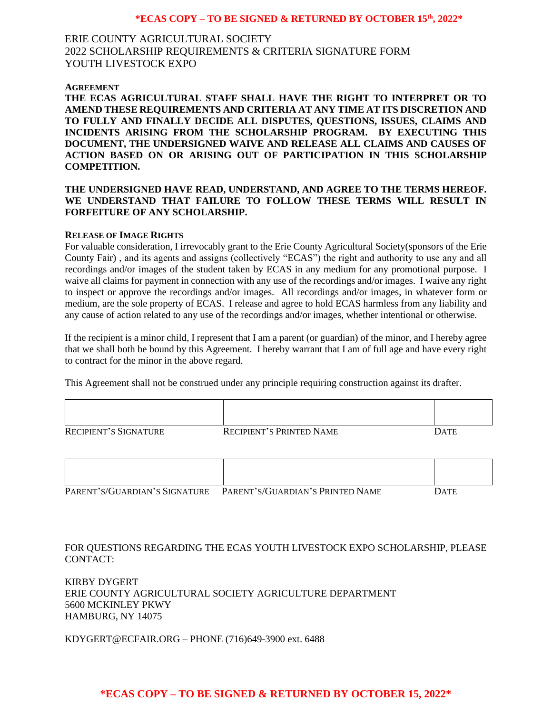## **\*ECAS COPY – TO BE SIGNED & RETURNED BY OCTOBER 15th, 2022\***

# ERIE COUNTY AGRICULTURAL SOCIETY 2022 SCHOLARSHIP REQUIREMENTS & CRITERIA SIGNATURE FORM YOUTH LIVESTOCK EXPO

#### **AGREEMENT**

**THE ECAS AGRICULTURAL STAFF SHALL HAVE THE RIGHT TO INTERPRET OR TO AMEND THESE REQUIREMENTS AND CRITERIA AT ANY TIME AT ITS DISCRETION AND TO FULLY AND FINALLY DECIDE ALL DISPUTES, QUESTIONS, ISSUES, CLAIMS AND INCIDENTS ARISING FROM THE SCHOLARSHIP PROGRAM. BY EXECUTING THIS DOCUMENT, THE UNDERSIGNED WAIVE AND RELEASE ALL CLAIMS AND CAUSES OF ACTION BASED ON OR ARISING OUT OF PARTICIPATION IN THIS SCHOLARSHIP COMPETITION.**

## **THE UNDERSIGNED HAVE READ, UNDERSTAND, AND AGREE TO THE TERMS HEREOF. WE UNDERSTAND THAT FAILURE TO FOLLOW THESE TERMS WILL RESULT IN FORFEITURE OF ANY SCHOLARSHIP.**

#### **RELEASE OF IMAGE RIGHTS**

For valuable consideration, I irrevocably grant to the Erie County Agricultural Society(sponsors of the Erie County Fair) , and its agents and assigns (collectively "ECAS") the right and authority to use any and all recordings and/or images of the student taken by ECAS in any medium for any promotional purpose. I waive all claims for payment in connection with any use of the recordings and/or images. I waive any right to inspect or approve the recordings and/or images. All recordings and/or images, in whatever form or medium, are the sole property of ECAS. I release and agree to hold ECAS harmless from any liability and any cause of action related to any use of the recordings and/or images, whether intentional or otherwise.

If the recipient is a minor child, I represent that I am a parent (or guardian) of the minor, and I hereby agree that we shall both be bound by this Agreement. I hereby warrant that I am of full age and have every right to contract for the minor in the above regard.

This Agreement shall not be construed under any principle requiring construction against its drafter.

| <b>RECIPIENT'S SIGNATURE</b> | <b>RECIPIENT'S PRINTED NAME</b> | <b>DATE</b> |
|------------------------------|---------------------------------|-------------|

| PARENT'S/GUARDIAN'S SIGNATURE | PARENT'S/GUARDIAN'S PRINTED NAME | DATE |
|-------------------------------|----------------------------------|------|

FOR QUESTIONS REGARDING THE ECAS YOUTH LIVESTOCK EXPO SCHOLARSHIP, PLEASE CONTACT:

KIRBY DYGERT ERIE COUNTY AGRICULTURAL SOCIETY AGRICULTURE DEPARTMENT 5600 MCKINLEY PKWY HAMBURG, NY 14075

KDYGERT@ECFAIR.ORG – PHONE (716)649-3900 ext. 6488

## **\*ECAS COPY – TO BE SIGNED & RETURNED BY OCTOBER 15, 2022\***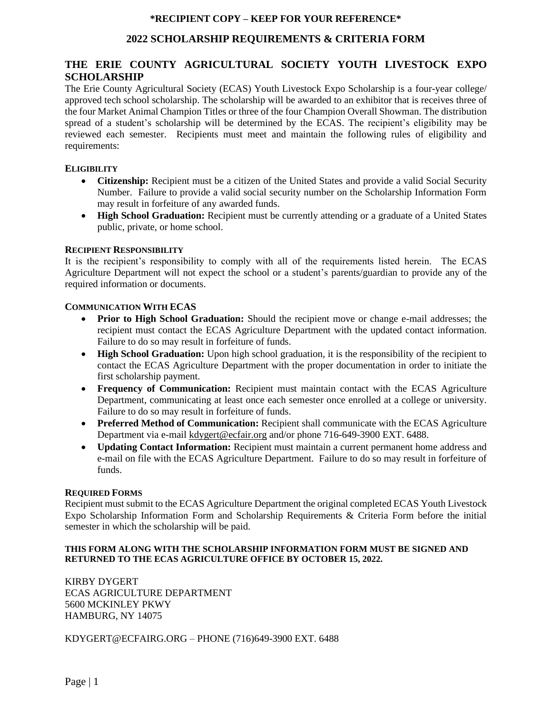## **2022 SCHOLARSHIP REQUIREMENTS & CRITERIA FORM**

# **THE ERIE COUNTY AGRICULTURAL SOCIETY YOUTH LIVESTOCK EXPO SCHOLARSHIP**

The Erie County Agricultural Society (ECAS) Youth Livestock Expo Scholarship is a four-year college/ approved tech school scholarship. The scholarship will be awarded to an exhibitor that is receives three of the four Market Animal Champion Titles or three of the four Champion Overall Showman. The distribution spread of a student's scholarship will be determined by the ECAS. The recipient's eligibility may be reviewed each semester. Recipients must meet and maintain the following rules of eligibility and requirements:

## **ELIGIBILITY**

- **Citizenship:** Recipient must be a citizen of the United States and provide a valid Social Security Number. Failure to provide a valid social security number on the Scholarship Information Form may result in forfeiture of any awarded funds.
- **High School Graduation:** Recipient must be currently attending or a graduate of a United States public, private, or home school.

#### **RECIPIENT RESPONSIBILITY**

It is the recipient's responsibility to comply with all of the requirements listed herein. The ECAS Agriculture Department will not expect the school or a student's parents/guardian to provide any of the required information or documents.

#### **COMMUNICATION WITH ECAS**

- **Prior to High School Graduation:** Should the recipient move or change e-mail addresses; the recipient must contact the ECAS Agriculture Department with the updated contact information. Failure to do so may result in forfeiture of funds.
- **High School Graduation:** Upon high school graduation, it is the responsibility of the recipient to contact the ECAS Agriculture Department with the proper documentation in order to initiate the first scholarship payment.
- **Frequency of Communication:** Recipient must maintain contact with the ECAS Agriculture Department, communicating at least once each semester once enrolled at a college or university. Failure to do so may result in forfeiture of funds.
- **Preferred Method of Communication:** Recipient shall communicate with the ECAS Agriculture Department via e-mail kdygert@ecfair.org and/or phone 716-649-3900 EXT. 6488.
- **Updating Contact Information:** Recipient must maintain a current permanent home address and e-mail on file with the ECAS Agriculture Department. Failure to do so may result in forfeiture of funds.

#### **REQUIRED FORMS**

Recipient must submit to the ECAS Agriculture Department the original completed ECAS Youth Livestock Expo Scholarship Information Form and Scholarship Requirements & Criteria Form before the initial semester in which the scholarship will be paid.

#### **THIS FORM ALONG WITH THE SCHOLARSHIP INFORMATION FORM MUST BE SIGNED AND RETURNED TO THE ECAS AGRICULTURE OFFICE BY OCTOBER 15, 2022.**

KIRBY DYGERT ECAS AGRICULTURE DEPARTMENT 5600 MCKINLEY PKWY HAMBURG, NY 14075

KDYGERT@ECFAIRG.ORG – PHONE (716)649-3900 EXT. 6488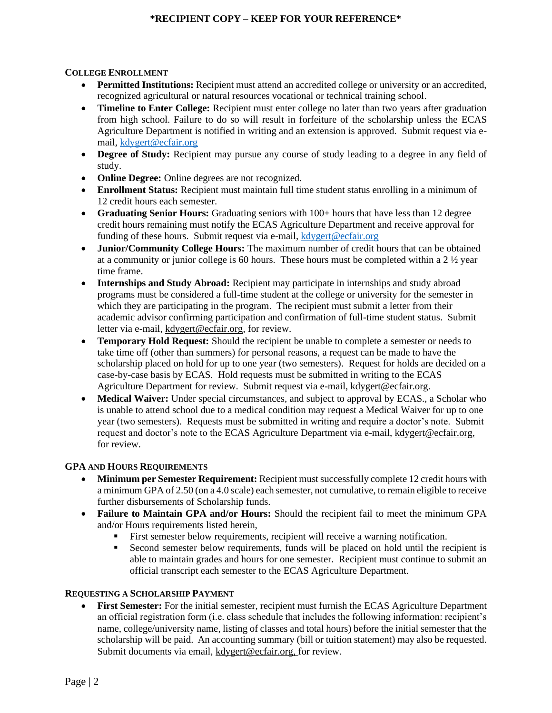## **COLLEGE ENROLLMENT**

- **Permitted Institutions:** Recipient must attend an accredited college or university or an accredited, recognized agricultural or natural resources vocational or technical training school.
- **Timeline to Enter College:** Recipient must enter college no later than two years after graduation from high school. Failure to do so will result in forfeiture of the scholarship unless the ECAS Agriculture Department is notified in writing and an extension is approved. Submit request via email, [kdygert@ecfair.org](mailto:kdygert@ecfair.org)
- **Degree of Study:** Recipient may pursue any course of study leading to a degree in any field of study.
- **Online Degree:** Online degrees are not recognized.
- **Enrollment Status:** Recipient must maintain full time student status enrolling in a minimum of 12 credit hours each semester.
- **Graduating Senior Hours:** Graduating seniors with 100+ hours that have less than 12 degree credit hours remaining must notify the ECAS Agriculture Department and receive approval for funding of these hours. Submit request via e-mail, [kdygert@ecfair.org](mailto:kdygert@ecfair.org)
- **Junior/Community College Hours:** The maximum number of credit hours that can be obtained at a community or junior college is 60 hours. These hours must be completed within a  $2 \frac{1}{2}$  year time frame.
- **Internships and Study Abroad:** Recipient may participate in internships and study abroad programs must be considered a full-time student at the college or university for the semester in which they are participating in the program. The recipient must submit a letter from their academic advisor confirming participation and confirmation of full-time student status. Submit letter via e-mail, kdygert@ecfair.org, for review.
- **Temporary Hold Request:** Should the recipient be unable to complete a semester or needs to take time off (other than summers) for personal reasons, a request can be made to have the scholarship placed on hold for up to one year (two semesters). Request for holds are decided on a case-by-case basis by ECAS. Hold requests must be submitted in writing to the ECAS Agriculture Department for review. Submit request via e-mail, kdygert@ecfair.org.
- **Medical Waiver:** Under special circumstances, and subject to approval by ECAS., a Scholar who is unable to attend school due to a medical condition may request a Medical Waiver for up to one year (two semesters). Requests must be submitted in writing and require a doctor's note. Submit request and doctor's note to the ECAS Agriculture Department via e-mail, kdygert@ecfair.org, for review.

### **GPA AND HOURS REQUIREMENTS**

- **Minimum per Semester Requirement:** Recipient must successfully complete 12 credit hours with a minimum GPA of 2.50 (on a 4.0 scale) each semester, not cumulative, to remain eligible to receive further disbursements of Scholarship funds.
- **Failure to Maintain GPA and/or Hours:** Should the recipient fail to meet the minimum GPA and/or Hours requirements listed herein,
	- **Example 1** First semester below requirements, recipient will receive a warning notification.
	- Second semester below requirements, funds will be placed on hold until the recipient is able to maintain grades and hours for one semester. Recipient must continue to submit an official transcript each semester to the ECAS Agriculture Department.

## **REQUESTING A SCHOLARSHIP PAYMENT**

• **First Semester:** For the initial semester, recipient must furnish the ECAS Agriculture Department an official registration form (i.e. class schedule that includes the following information: recipient's name, college/university name, listing of classes and total hours) before the initial semester that the scholarship will be paid. An accounting summary (bill or tuition statement) may also be requested. Submit documents via email, kdygert@ecfair.org, for review.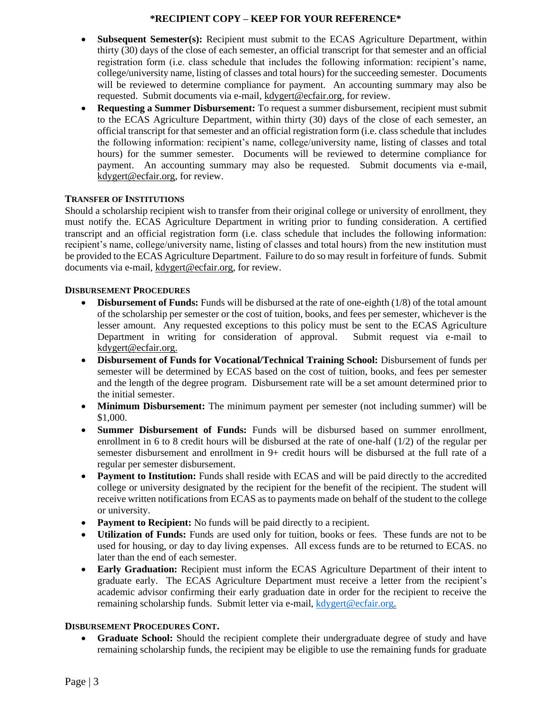- **Subsequent Semester(s):** Recipient must submit to the ECAS Agriculture Department, within thirty (30) days of the close of each semester, an official transcript for that semester and an official registration form (i.e. class schedule that includes the following information: recipient's name, college/university name, listing of classes and total hours) for the succeeding semester. Documents will be reviewed to determine compliance for payment. An accounting summary may also be requested. Submit documents via e-mail, kdygert@ecfair.org, for review.
- **Requesting a Summer Disbursement:** To request a summer disbursement, recipient must submit to the ECAS Agriculture Department, within thirty (30) days of the close of each semester, an official transcript for that semester and an official registration form (i.e. class schedule that includes the following information: recipient's name, college/university name, listing of classes and total hours) for the summer semester. Documents will be reviewed to determine compliance for payment. An accounting summary may also be requested. Submit documents via e-mail, kdygert@ecfair.org, for review.

## **TRANSFER OF INSTITUTIONS**

Should a scholarship recipient wish to transfer from their original college or university of enrollment, they must notify the. ECAS Agriculture Department in writing prior to funding consideration. A certified transcript and an official registration form (i.e. class schedule that includes the following information: recipient's name, college/university name, listing of classes and total hours) from the new institution must be provided to the ECAS Agriculture Department. Failure to do so may result in forfeiture of funds. Submit documents via e-mail, kdygert@ecfair.org, for review.

## **DISBURSEMENT PROCEDURES**

- **Disbursement of Funds:** Funds will be disbursed at the rate of one-eighth (1/8) of the total amount of the scholarship per semester or the cost of tuition, books, and fees per semester, whichever is the lesser amount. Any requested exceptions to this policy must be sent to the ECAS Agriculture Department in writing for consideration of approval. Submit request via e-mail to kdygert@ecfair.org.
- **Disbursement of Funds for Vocational/Technical Training School:** Disbursement of funds per semester will be determined by ECAS based on the cost of tuition, books, and fees per semester and the length of the degree program. Disbursement rate will be a set amount determined prior to the initial semester.
- **Minimum Disbursement:** The minimum payment per semester (not including summer) will be \$1,000.
- **Summer Disbursement of Funds:** Funds will be disbursed based on summer enrollment, enrollment in 6 to 8 credit hours will be disbursed at the rate of one-half (1/2) of the regular per semester disbursement and enrollment in 9+ credit hours will be disbursed at the full rate of a regular per semester disbursement.
- **Payment to Institution:** Funds shall reside with ECAS and will be paid directly to the accredited college or university designated by the recipient for the benefit of the recipient. The student will receive written notifications from ECAS as to payments made on behalf of the student to the college or university.
- **Payment to Recipient:** No funds will be paid directly to a recipient.
- **Utilization of Funds:** Funds are used only for tuition, books or fees. These funds are not to be used for housing, or day to day living expenses. All excess funds are to be returned to ECAS. no later than the end of each semester.
- **Early Graduation:** Recipient must inform the ECAS Agriculture Department of their intent to graduate early. The ECAS Agriculture Department must receive a letter from the recipient's academic advisor confirming their early graduation date in order for the recipient to receive the remaining scholarship funds. Submit letter via e-mail, [kdygert@ecfair.org.](mailto:kdygert@ecfair.org)

## **DISBURSEMENT PROCEDURES CONT.**

Graduate School: Should the recipient complete their undergraduate degree of study and have remaining scholarship funds, the recipient may be eligible to use the remaining funds for graduate